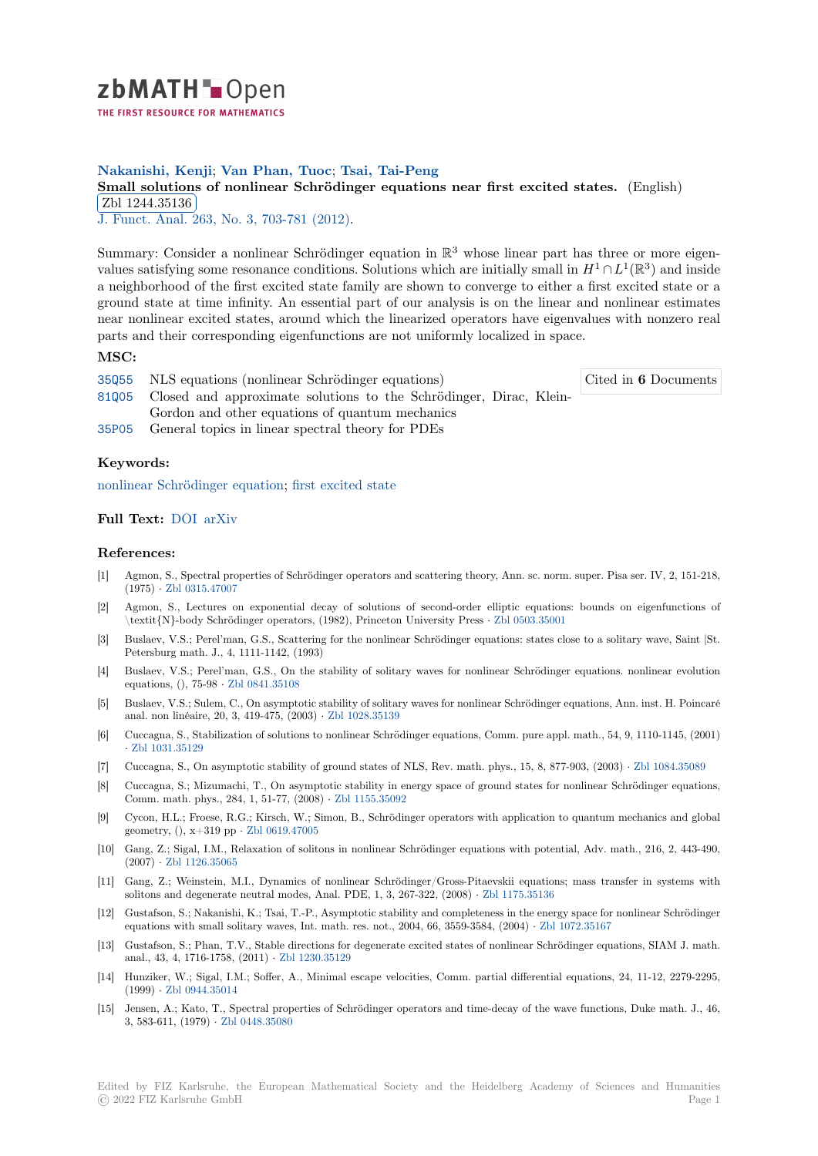

# **Nakanishi, Kenji**; **Van Phan, Tuoc**; **Tsai, Tai-Peng**

# **[S](https://zbmath.org/)mall solutions of nonlinear Schrödinger equations near first excited states.** (English) Zbl 1244.35136

<u>251 1244.65166</u><br>J. Funct. Anal. 263, No. 3, 703-781 (2012).

[Summary: Consider a nonlinear Schrödinger equation in](https://zbmath.org/1244.35136)  $\mathbb{R}^3$  whose linear part has three or more eigen[values satisfying s](https://zbmath.org/1244.35136)ome resonance conditions. Solutions which are initially small in  $H^1 \cap L^1(\mathbb{R}^3)$  and inside [a neighborhood](https://zbmath.org/journals/?q=se:492) [of the first excited state fa](https://zbmath.org/?q=in:302770)mily are shown to converge to either a first excited state or a ground state at time infinity. An essential part of our analysis is on the linear and nonlinear estimates near nonlinear excited states, around which the linearized operators have eigenvalues with nonzero real parts and their corresponding eigenfunctions are not uniformly localized in space.

### **MSC:**

|  | 35055 NLS equations (nonlinear Schrödinger equations)                    | Cited in 6 Documents |
|--|--------------------------------------------------------------------------|----------------------|
|  | 81005 Closed and approximate solutions to the Schrödinger, Dirac, Klein- |                      |
|  | Gordon and other equations of quantum mechanics                          |                      |
|  | 35P05 General topics in linear spectral theory for PDEs                  |                      |

### **[Keyw](https://zbmath.org/classification/?q=cc:81Q05)ords:**

[nonlin](https://zbmath.org/classification/?q=cc:35P05)ear Schrödinger equation; first excited state

## **Full Text:** DOI arXiv

### **[References:](https://zbmath.org/?q=ut:nonlinear+Schr%C3%B6dinger+equation)**

- [1] Agmon, S., Spectral properties of Schrödinger operators and scattering theory, Ann. sc. norm. super. Pisa ser. IV, 2, 151-218, (1975) *·* [Zbl 031](https://dx.doi.org/10.1016/j.jfa.2012.04.017)[5.47007](https://arxiv.org/abs/1008.3581)
- [2] Agmon, S., Lectures on exponential decay of solutions of second-order elliptic equations: bounds on eigenfunctions of \textit{N}-body Schrödinger operators, (1982), Princeton University Press *·* Zbl 0503.35001
- [3] Buslaev, V.S.; Perel'man, G.S., Scattering for the nonlinear Schrödinger equations: states close to a solitary wave, Saint |St. Petersb[urg math. J., 4,](https://zbmath.org/0315.47007) 1111-1142, (1993)
- [4] Buslaev, V.S.; Perel'man, G.S., On the stability of solitary waves for nonlinear Schrödinger equations. nonlinear evolution equations, (), 75-98 *·* Zbl 0841.35108
- [5] Buslaev, V.S.; Sulem, C., On asymptotic stability of solitary waves for nonlinear Schrödinger equations, Ann. inst. H. Poincaré anal. non linéaire, 20, 3, 419-475, (2003) *·* Zbl 1028.35139
- [6] Cuccagna, S., Stabilization of solutions to nonlinear Schrödinger equations, Comm. pure appl. math., 54, 9, 1110-1145, (2001) *·* Zbl 1031.35129
- [7] Cuccagna, S., On asymptotic stability of ground states of NLS, Rev. math. phys., 15, 8, 877-903, (2003) *·* Zbl 1084.35089
- [8] Cuccagna, S.; Mizumachi, T., On asympt[otic stability in](https://zbmath.org/1028.35139) energy space of ground states for nonlinear Schrödinger equations, Comm. math. phys., 284, 1, 51-77, (2008) *·* Zbl 1155.35092
- [9] [Cycon, H.L.; Fro](https://zbmath.org/1031.35129)ese, R.G.; Kirsch, W.; Simon, B., Schrödinger operators with application to quantum mechanics and global geometry, (), x+319 pp *·* Zbl 0619.47005
- [10] Gang, Z.; Sigal, I.M., Relaxation of solitons in nonlinear Schrödinger equations with potential, Adv. math., 216, 2, 443-490, (2007) *·* Zbl 1126.35065
- [11] Gang, Z.; Weinstein, M.I., Dynamics of nonlinear Schrödinger/Gross-Pitaevskii equations; mass transfer in systems with solitons and degeneraten[eutral modes, A](https://zbmath.org/0619.47005)nal. PDE, 1, 3, 267-322, (2008) *·* Zbl 1175.35136
- [12] Gustafson, S.; Nakanishi, K.; Tsai, T.-P., Asymptotic stability and completeness in the energy space for nonlinear Schrödinger equation[s with small sol](https://zbmath.org/1126.35065)itary waves, Int. math. res. not., 2004, 66, 3559-3584, (2004) *·* Zbl 1072.35167
- [13] Gustafson, S.; Phan, T.V., Stable directions for degenerate excited states of nonlinear Schrödinger equations, SIAM J. math. anal., 43, 4, 1716-1758, (2011) *·* Zbl 1230.35129
- [14] Hunziker, W.; Sigal, I.M.; Soffer, A., Minimal escape velocities, Comm. partial differential equations, 24, 11-12, 2279-2295, (1999) *·* Zbl 0944.35014
- [15] Jensen, A.; Kato, T., Spectral properties of Schrödinger operators and time-decay of the wave functions, Duke math. J., 46, 3, 583-611, (1979) *·* Zbl 0448.35[080](https://zbmath.org/1230.35129)